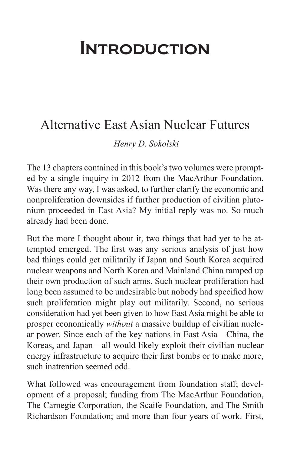## **INTRODUCTION**

## Alternative East Asian Nuclear Futures

*Henry D. Sokolski*

The 13 chapters contained in this book's two volumes were prompted by a single inquiry in 2012 from the MacArthur Foundation. Was there any way, I was asked, to further clarify the economic and nonproliferation downsides if further production of civilian plutonium proceeded in East Asia? My initial reply was no. So much already had been done.

But the more I thought about it, two things that had yet to be attempted emerged. The first was any serious analysis of just how bad things could get militarily if Japan and South Korea acquired nuclear weapons and North Korea and Mainland China ramped up their own production of such arms. Such nuclear proliferation had long been assumed to be undesirable but nobody had specified how such proliferation might play out militarily. Second, no serious consideration had yet been given to how East Asia might be able to prosper economically *without* a massive buildup of civilian nuclear power. Since each of the key nations in East Asia—China, the Koreas, and Japan—all would likely exploit their civilian nuclear energy infrastructure to acquire their first bombs or to make more, such inattention seemed odd.

What followed was encouragement from foundation staff; development of a proposal; funding from The MacArthur Foundation, The Carnegie Corporation, the Scaife Foundation, and The Smith Richardson Foundation; and more than four years of work. First,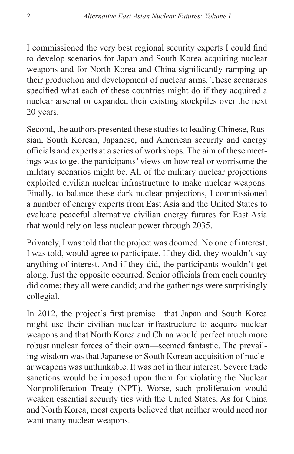I commissioned the very best regional security experts I could find to develop scenarios for Japan and South Korea acquiring nuclear weapons and for North Korea and China significantly ramping up their production and development of nuclear arms. These scenarios specified what each of these countries might do if they acquired a nuclear arsenal or expanded their existing stockpiles over the next 20 years.

Second, the authors presented these studies to leading Chinese, Russian, South Korean, Japanese, and American security and energy officials and experts at a series of workshops. The aim of these meetings was to get the participants' views on how real or worrisome the military scenarios might be. All of the military nuclear projections exploited civilian nuclear infrastructure to make nuclear weapons. Finally, to balance these dark nuclear projections, I commissioned a number of energy experts from East Asia and the United States to evaluate peaceful alternative civilian energy futures for East Asia that would rely on less nuclear power through 2035.

Privately, I was told that the project was doomed. No one of interest, I was told, would agree to participate. If they did, they wouldn't say anything of interest. And if they did, the participants wouldn't get along. Just the opposite occurred. Senior officials from each country did come; they all were candid; and the gatherings were surprisingly collegial.

In 2012, the project's first premise—that Japan and South Korea might use their civilian nuclear infrastructure to acquire nuclear weapons and that North Korea and China would perfect much more robust nuclear forces of their own—seemed fantastic. The prevailing wisdom was that Japanese or South Korean acquisition of nuclear weapons was unthinkable. It was not in their interest. Severe trade sanctions would be imposed upon them for violating the Nuclear Nonproliferation Treaty (NPT). Worse, such proliferation would weaken essential security ties with the United States. As for China and North Korea, most experts believed that neither would need nor want many nuclear weapons.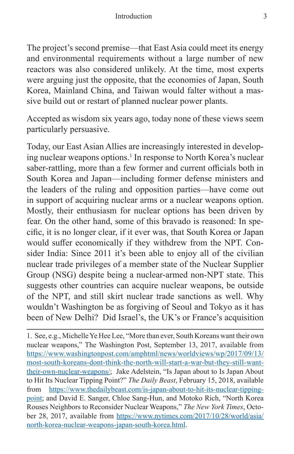The project's second premise—that East Asia could meet its energy and environmental requirements without a large number of new reactors was also considered unlikely. At the time, most experts were arguing just the opposite, that the economies of Japan, South Korea, Mainland China, and Taiwan would falter without a massive build out or restart of planned nuclear power plants.

Accepted as wisdom six years ago, today none of these views seem particularly persuasive.

Today, our East Asian Allies are increasingly interested in developing nuclear weapons options.<sup>1</sup> In response to North Korea's nuclear saber-rattling, more than a few former and current officials both in South Korea and Japan—including former defense ministers and the leaders of the ruling and opposition parties—have come out in support of acquiring nuclear arms or a nuclear weapons option. Mostly, their enthusiasm for nuclear options has been driven by fear. On the other hand, some of this bravado is reasoned: In specific, it is no longer clear, if it ever was, that South Korea or Japan would suffer economically if they withdrew from the NPT. Consider India: Since 2011 it's been able to enjoy all of the civilian nuclear trade privileges of a member state of the Nuclear Supplier Group (NSG) despite being a nuclear-armed non-NPT state. This suggests other countries can acquire nuclear weapons, be outside of the NPT, and still skirt nuclear trade sanctions as well. Why wouldn't Washington be as forgiving of Seoul and Tokyo as it has been of New Delhi? Did Israel's, the UK's or France's acquisition

1. See, e.g., Michelle Ye Hee Lee, "More than ever, South Koreans want their own nuclear weapons," The Washington Post, September 13, 2017, available from [https://www.washingtonpost.com/amphtml/news/worldviews/wp/2017/09/13/](https://www.washingtonpost.com/amphtml/news/worldviews/wp/2017/09/13/most-south-koreans-dont-think-the-north-will-start-a-war-but-they-still-want-their-own-nuclear-weapons/) [most-south-koreans-dont-think-the-north-will-start-a-war-but-they-still-want](https://www.washingtonpost.com/amphtml/news/worldviews/wp/2017/09/13/most-south-koreans-dont-think-the-north-will-start-a-war-but-they-still-want-their-own-nuclear-weapons/)[their-own-nuclear-weapons/](https://www.washingtonpost.com/amphtml/news/worldviews/wp/2017/09/13/most-south-koreans-dont-think-the-north-will-start-a-war-but-they-still-want-their-own-nuclear-weapons/); Jake Adelstein, "Is Japan about to Is Japan About to Hit Its Nuclear Tipping Point?" *The Daily Beast*, February 15, 2018, available from [https://www.thedailybeast.com/is-japan-about-to-hit-its-nuclear-tipping](https://www.thedailybeast.com/is-japan-about-to-hit-its-nuclear-tipping-point)[point;](https://www.thedailybeast.com/is-japan-about-to-hit-its-nuclear-tipping-point) and David E. Sanger, Chloe Sang-Hun, and Motoko Rich, "North Korea Rouses Neighbors to Reconsider Nuclear Weapons," *The New York Times*, October 28, 2017, available from [https://www.nytimes.com/2017/10/28/world/asia/](https://www.nytimes.com/2017/10/28/world/asia/north-korea-nuclear-weapons-japan-south-korea.html) [north-korea-nuclear-weapons-japan-south-korea.html.](https://www.nytimes.com/2017/10/28/world/asia/north-korea-nuclear-weapons-japan-south-korea.html)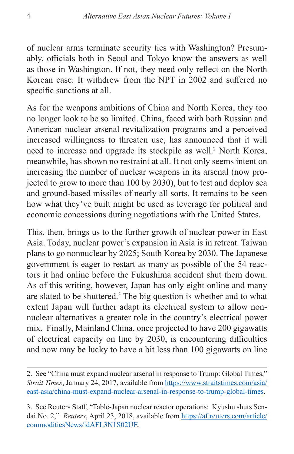of nuclear arms terminate security ties with Washington? Presumably, officials both in Seoul and Tokyo know the answers as well as those in Washington. If not, they need only reflect on the North Korean case: It withdrew from the NPT in 2002 and suffered no specific sanctions at all.

As for the weapons ambitions of China and North Korea, they too no longer look to be so limited. China, faced with both Russian and American nuclear arsenal revitalization programs and a perceived increased willingness to threaten use, has announced that it will need to increase and upgrade its stockpile as well.<sup>2</sup> North Korea, meanwhile, has shown no restraint at all. It not only seems intent on increasing the number of nuclear weapons in its arsenal (now projected to grow to more than 100 by 2030), but to test and deploy sea and ground-based missiles of nearly all sorts. It remains to be seen how what they've built might be used as leverage for political and economic concessions during negotiations with the United States.

This, then, brings us to the further growth of nuclear power in East Asia. Today, nuclear power's expansion in Asia is in retreat. Taiwan plans to go nonnuclear by 2025; South Korea by 2030. The Japanese government is eager to restart as many as possible of the 54 reactors it had online before the Fukushima accident shut them down. As of this writing, however, Japan has only eight online and many are slated to be shuttered.<sup>3</sup> The big question is whether and to what extent Japan will further adapt its electrical system to allow nonnuclear alternatives a greater role in the country's electrical power mix. Finally, Mainland China, once projected to have 200 gigawatts of electrical capacity on line by 2030, is encountering difficulties and now may be lucky to have a bit less than 100 gigawatts on line

<sup>2.</sup> See "China must expand nuclear arsenal in response to Trump: Global Times," *Strait Times*, January 24, 2017, available from [https://www.straitstimes.com/asia/](https://www.straitstimes.com/asia/east-asia/china-must-expand-nuclear-arsenal-in-response-to-trump-global-times) [east-asia/china-must-expand-nuclear-arsenal-in-response-to-trump-global-times](https://www.straitstimes.com/asia/east-asia/china-must-expand-nuclear-arsenal-in-response-to-trump-global-times).

<sup>3.</sup> See Reuters Staff, "Table-Japan nuclear reactor operations: Kyushu shuts Sendai No. 2," *Reuters*, April 23, 2018, available from [https://af.reuters.com/article/](https://af.reuters.com/article/commoditiesNews/idAFL3N1S02UE) [commoditiesNews/idAFL3N1S02UE.](https://af.reuters.com/article/commoditiesNews/idAFL3N1S02UE)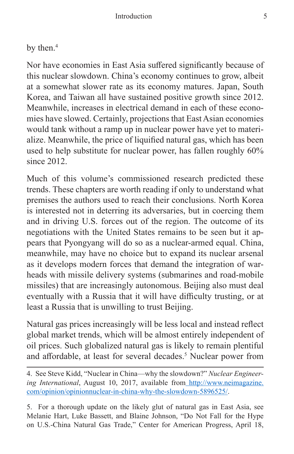by then.<sup>4</sup>

Nor have economies in East Asia suffered significantly because of this nuclear slowdown. China's economy continues to grow, albeit at a somewhat slower rate as its economy matures. Japan, South Korea, and Taiwan all have sustained positive growth since 2012. Meanwhile, increases in electrical demand in each of these economies have slowed. Certainly, projections that East Asian economies would tank without a ramp up in nuclear power have yet to materialize. Meanwhile, the price of liquified natural gas, which has been used to help substitute for nuclear power, has fallen roughly 60% since 2012.

Much of this volume's commissioned research predicted these trends. These chapters are worth reading if only to understand what premises the authors used to reach their conclusions. North Korea is interested not in deterring its adversaries, but in coercing them and in driving U.S. forces out of the region. The outcome of its negotiations with the United States remains to be seen but it appears that Pyongyang will do so as a nuclear-armed equal. China, meanwhile, may have no choice but to expand its nuclear arsenal as it develops modern forces that demand the integration of warheads with missile delivery systems (submarines and road-mobile missiles) that are increasingly autonomous. Beijing also must deal eventually with a Russia that it will have difficulty trusting, or at least a Russia that is unwilling to trust Beijing.

Natural gas prices increasingly will be less local and instead reflect global market trends, which will be almost entirely independent of oil prices. Such globalized natural gas is likely to remain plentiful and affordable, at least for several decades.<sup>5</sup> Nuclear power from

5. For a thorough update on the likely glut of natural gas in East Asia, see Melanie Hart, Luke Bassett, and Blaine Johnson, "Do Not Fall for the Hype on U.S.-China Natural Gas Trade," Center for American Progress, April 18,

<sup>4.</sup> See Steve Kidd, "Nuclear in China—why the slowdown?" *Nuclear Engineering International*, August 10, 2017, available fro[m http://www.neimagazine.]( http://www.neimagazine.com/opinion/opinionnuclear-in-china-why-the-slowdown-5896525/) [com/opinion/opinionnuclear-in-china-why-the-slowdown-5896525/.]( http://www.neimagazine.com/opinion/opinionnuclear-in-china-why-the-slowdown-5896525/)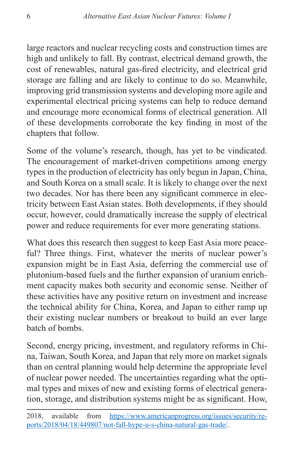large reactors and nuclear recycling costs and construction times are high and unlikely to fall. By contrast, electrical demand growth, the cost of renewables, natural gas-fired electricity, and electrical grid storage are falling and are likely to continue to do so. Meanwhile, improving grid transmission systems and developing more agile and experimental electrical pricing systems can help to reduce demand and encourage more economical forms of electrical generation. All of these developments corroborate the key finding in most of the chapters that follow.

Some of the volume's research, though, has yet to be vindicated. The encouragement of market-driven competitions among energy types in the production of electricity has only begun in Japan, China, and South Korea on a small scale. It is likely to change over the next two decades. Nor has there been any significant commerce in electricity between East Asian states. Both developments, if they should occur, however, could dramatically increase the supply of electrical power and reduce requirements for ever more generating stations.

What does this research then suggest to keep East Asia more peaceful? Three things. First, whatever the merits of nuclear power's expansion might be in East Asia, deferring the commercial use of plutonium-based fuels and the further expansion of uranium enrichment capacity makes both security and economic sense. Neither of these activities have any positive return on investment and increase the technical ability for China, Korea, and Japan to either ramp up their existing nuclear numbers or breakout to build an ever large batch of bombs.

Second, energy pricing, investment, and regulatory reforms in China, Taiwan, South Korea, and Japan that rely more on market signals than on central planning would help determine the appropriate level of nuclear power needed. The uncertainties regarding what the optimal types and mixes of new and existing forms of electrical generation, storage, and distribution systems might be as significant. How,

<sup>2018,</sup> available from [https://www.americanprogress.org/issues/security/re](https://www.americanprogress.org/issues/security/reports/2018/04/18/449807/not-fall-hype-u-s-china-natural-gas-trade/)[ports/2018/04/18/449807/not-fall-hype-u-s-china-natural-gas-trade/](https://www.americanprogress.org/issues/security/reports/2018/04/18/449807/not-fall-hype-u-s-china-natural-gas-trade/).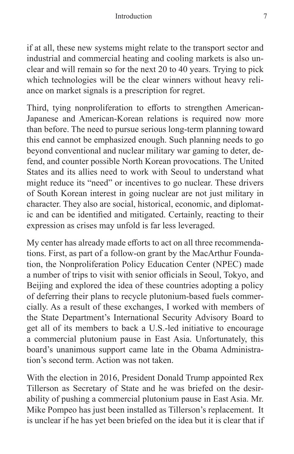if at all, these new systems might relate to the transport sector and industrial and commercial heating and cooling markets is also unclear and will remain so for the next 20 to 40 years. Trying to pick which technologies will be the clear winners without heavy reliance on market signals is a prescription for regret.

Third, tying nonproliferation to efforts to strengthen American-Japanese and American-Korean relations is required now more than before. The need to pursue serious long-term planning toward this end cannot be emphasized enough. Such planning needs to go beyond conventional and nuclear military war gaming to deter, defend, and counter possible North Korean provocations. The United States and its allies need to work with Seoul to understand what might reduce its "need" or incentives to go nuclear. These drivers of South Korean interest in going nuclear are not just military in character. They also are social, historical, economic, and diplomatic and can be identified and mitigated. Certainly, reacting to their expression as crises may unfold is far less leveraged.

My center has already made efforts to act on all three recommendations. First, as part of a follow-on grant by the MacArthur Foundation, the Nonproliferation Policy Education Center (NPEC) made a number of trips to visit with senior officials in Seoul, Tokyo, and Beijing and explored the idea of these countries adopting a policy of deferring their plans to recycle plutonium-based fuels commercially. As a result of these exchanges, I worked with members of the State Department's International Security Advisory Board to get all of its members to back a U.S.-led initiative to encourage a commercial plutonium pause in East Asia. Unfortunately, this board's unanimous support came late in the Obama Administration's second term. Action was not taken.

With the election in 2016, President Donald Trump appointed Rex Tillerson as Secretary of State and he was briefed on the desirability of pushing a commercial plutonium pause in East Asia. Mr. Mike Pompeo has just been installed as Tillerson's replacement. It is unclear if he has yet been briefed on the idea but it is clear that if